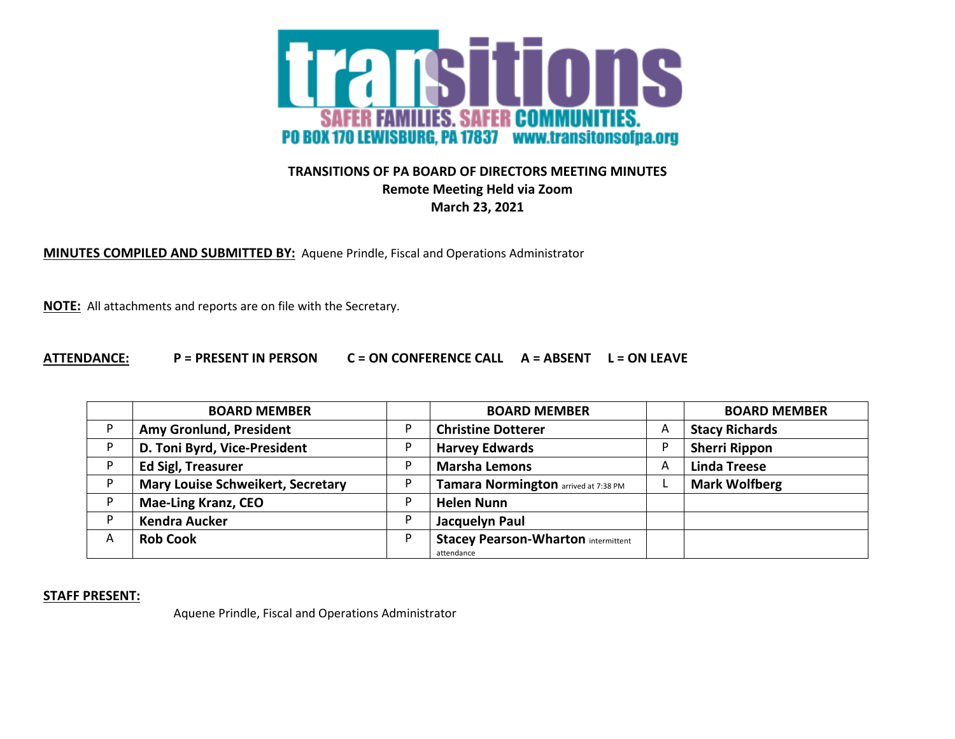

## **TRANSITIONS OF PA BOARD OF DIRECTORS MEETING MINUTES Remote Meeting Held via Zoom March 23, 2021**

**MINUTES COMPILED AND SUBMITTED BY:** Aquene Prindle, Fiscal and Operations Administrator

**NOTE:** All attachments and reports are on file with the Secretary.

## **ATTENDANCE: P = PRESENT IN PERSON C = ON CONFERENCE CALL A = ABSENT L = ON LEAVE**

|   | <b>BOARD MEMBER</b>                      |   | <b>BOARD MEMBER</b>                        |   | <b>BOARD MEMBER</b>   |
|---|------------------------------------------|---|--------------------------------------------|---|-----------------------|
|   | Amy Gronlund, President                  |   | <b>Christine Dotterer</b>                  | A | <b>Stacy Richards</b> |
|   | D. Toni Byrd, Vice-President             |   | <b>Harvey Edwards</b>                      |   | <b>Sherri Rippon</b>  |
| D | <b>Ed Sigl, Treasurer</b>                | D | <b>Marsha Lemons</b>                       | A | <b>Linda Treese</b>   |
|   | <b>Mary Louise Schweikert, Secretary</b> |   | Tamara Normington arrived at 7:38 PM       |   | <b>Mark Wolfberg</b>  |
|   | <b>Mae-Ling Kranz, CEO</b>               |   | <b>Helen Nunn</b>                          |   |                       |
| D | <b>Kendra Aucker</b>                     | P | Jacquelyn Paul                             |   |                       |
| A | <b>Rob Cook</b>                          | P | <b>Stacey Pearson-Wharton intermittent</b> |   |                       |
|   |                                          |   | attendance                                 |   |                       |

**STAFF PRESENT:**

Aquene Prindle, Fiscal and Operations Administrator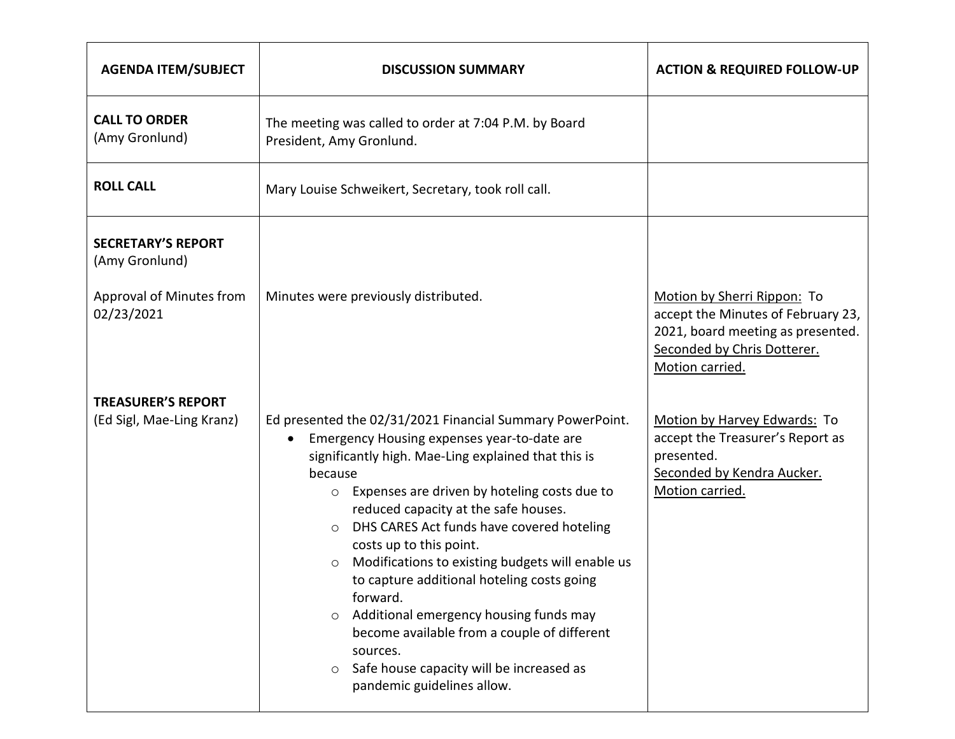| <b>AGENDA ITEM/SUBJECT</b>                                                            | <b>DISCUSSION SUMMARY</b>                                                                                                                                                                                                                                                                                                                                                                                                                                                                                                                                                                                                                                                                      | <b>ACTION &amp; REQUIRED FOLLOW-UP</b>                                                                                                                   |
|---------------------------------------------------------------------------------------|------------------------------------------------------------------------------------------------------------------------------------------------------------------------------------------------------------------------------------------------------------------------------------------------------------------------------------------------------------------------------------------------------------------------------------------------------------------------------------------------------------------------------------------------------------------------------------------------------------------------------------------------------------------------------------------------|----------------------------------------------------------------------------------------------------------------------------------------------------------|
| <b>CALL TO ORDER</b><br>(Amy Gronlund)                                                | The meeting was called to order at 7:04 P.M. by Board<br>President, Amy Gronlund.                                                                                                                                                                                                                                                                                                                                                                                                                                                                                                                                                                                                              |                                                                                                                                                          |
| <b>ROLL CALL</b>                                                                      | Mary Louise Schweikert, Secretary, took roll call.                                                                                                                                                                                                                                                                                                                                                                                                                                                                                                                                                                                                                                             |                                                                                                                                                          |
| <b>SECRETARY'S REPORT</b><br>(Amy Gronlund)<br>Approval of Minutes from<br>02/23/2021 | Minutes were previously distributed.                                                                                                                                                                                                                                                                                                                                                                                                                                                                                                                                                                                                                                                           | Motion by Sherri Rippon: To<br>accept the Minutes of February 23,<br>2021, board meeting as presented.<br>Seconded by Chris Dotterer.<br>Motion carried. |
| <b>TREASURER'S REPORT</b>                                                             |                                                                                                                                                                                                                                                                                                                                                                                                                                                                                                                                                                                                                                                                                                |                                                                                                                                                          |
| (Ed Sigl, Mae-Ling Kranz)                                                             | Ed presented the 02/31/2021 Financial Summary PowerPoint.<br>Emergency Housing expenses year-to-date are<br>significantly high. Mae-Ling explained that this is<br>because<br>Expenses are driven by hoteling costs due to<br>$\circ$<br>reduced capacity at the safe houses.<br>DHS CARES Act funds have covered hoteling<br>$\circ$<br>costs up to this point.<br>Modifications to existing budgets will enable us<br>$\circ$<br>to capture additional hoteling costs going<br>forward.<br>Additional emergency housing funds may<br>$\circ$<br>become available from a couple of different<br>sources.<br>Safe house capacity will be increased as<br>$\circ$<br>pandemic guidelines allow. | Motion by Harvey Edwards: To<br>accept the Treasurer's Report as<br>presented.<br>Seconded by Kendra Aucker.<br>Motion carried.                          |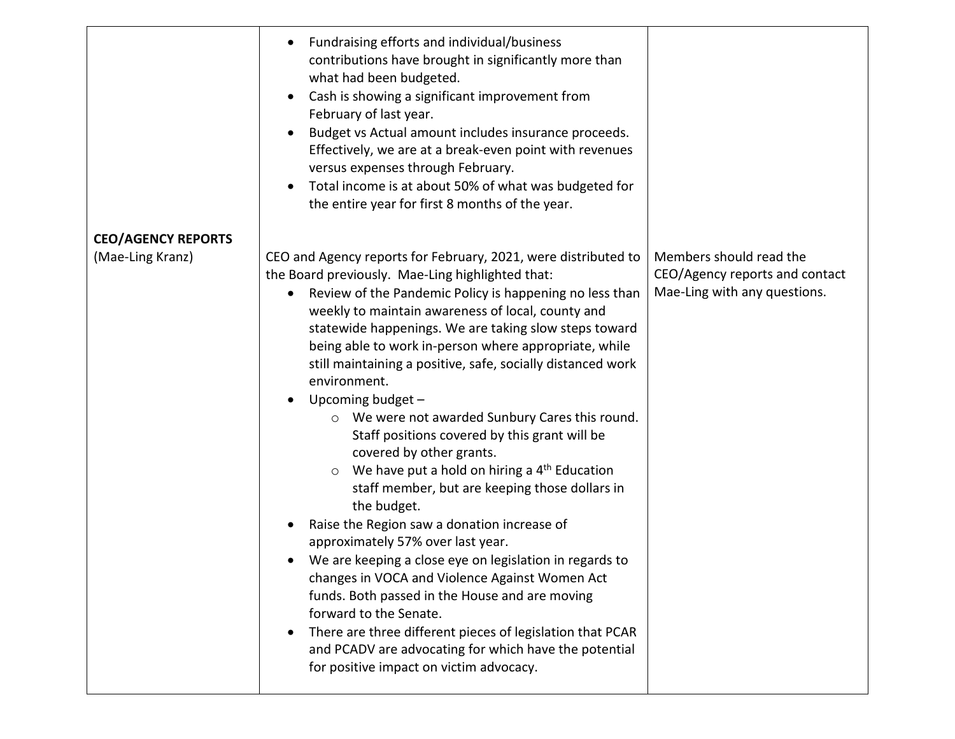|                                               | Fundraising efforts and individual/business<br>$\bullet$<br>contributions have brought in significantly more than<br>what had been budgeted.<br>Cash is showing a significant improvement from<br>$\bullet$<br>February of last year.<br>Budget vs Actual amount includes insurance proceeds.<br>$\bullet$<br>Effectively, we are at a break-even point with revenues<br>versus expenses through February.<br>Total income is at about 50% of what was budgeted for<br>the entire year for first 8 months of the year.                                                                                                                                                                                                                                                                                                                                                                                                                                                                                                                                                                                                                    |                                                                |
|-----------------------------------------------|-------------------------------------------------------------------------------------------------------------------------------------------------------------------------------------------------------------------------------------------------------------------------------------------------------------------------------------------------------------------------------------------------------------------------------------------------------------------------------------------------------------------------------------------------------------------------------------------------------------------------------------------------------------------------------------------------------------------------------------------------------------------------------------------------------------------------------------------------------------------------------------------------------------------------------------------------------------------------------------------------------------------------------------------------------------------------------------------------------------------------------------------|----------------------------------------------------------------|
| <b>CEO/AGENCY REPORTS</b><br>(Mae-Ling Kranz) | CEO and Agency reports for February, 2021, were distributed to                                                                                                                                                                                                                                                                                                                                                                                                                                                                                                                                                                                                                                                                                                                                                                                                                                                                                                                                                                                                                                                                            | Members should read the                                        |
|                                               | the Board previously. Mae-Ling highlighted that:<br>Review of the Pandemic Policy is happening no less than<br>weekly to maintain awareness of local, county and<br>statewide happenings. We are taking slow steps toward<br>being able to work in-person where appropriate, while<br>still maintaining a positive, safe, socially distanced work<br>environment.<br>Upcoming budget -<br>$\bullet$<br>We were not awarded Sunbury Cares this round.<br>O<br>Staff positions covered by this grant will be<br>covered by other grants.<br>We have put a hold on hiring a 4 <sup>th</sup> Education<br>$\circ$<br>staff member, but are keeping those dollars in<br>the budget.<br>Raise the Region saw a donation increase of<br>approximately 57% over last year.<br>We are keeping a close eye on legislation in regards to<br>changes in VOCA and Violence Against Women Act<br>funds. Both passed in the House and are moving<br>forward to the Senate.<br>There are three different pieces of legislation that PCAR<br>$\bullet$<br>and PCADV are advocating for which have the potential<br>for positive impact on victim advocacy. | CEO/Agency reports and contact<br>Mae-Ling with any questions. |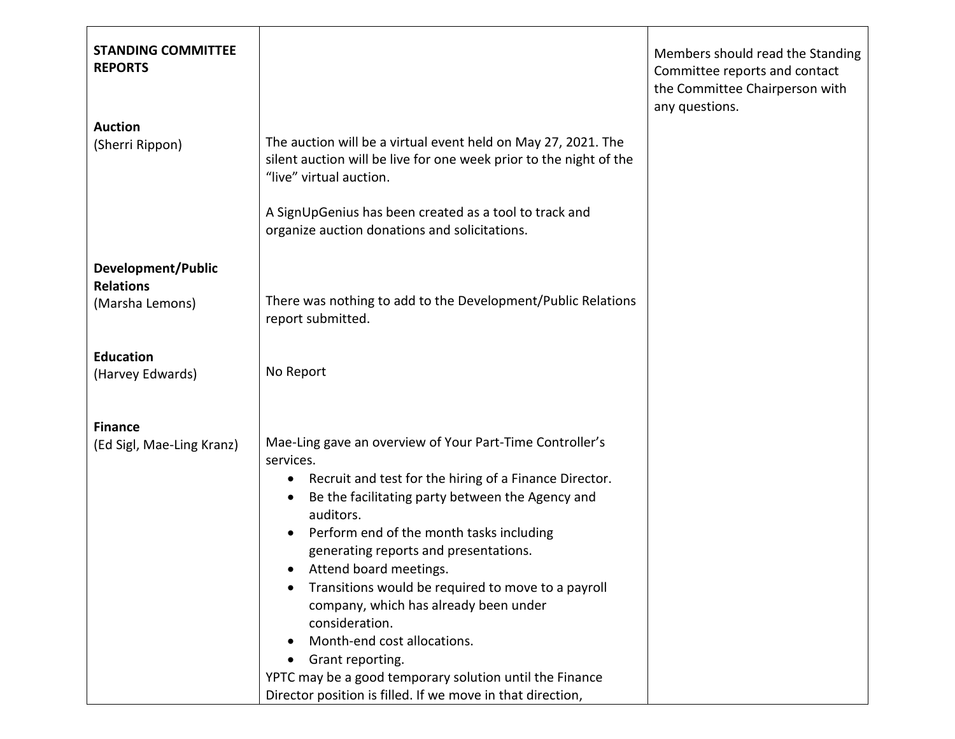| <b>STANDING COMMITTEE</b><br><b>REPORTS</b>                      |                                                                                                                                                                                                                                                                                                                                                                                                                                                                                                                                                                                                                                                                                            | Members should read the Standing<br>Committee reports and contact<br>the Committee Chairperson with<br>any questions. |
|------------------------------------------------------------------|--------------------------------------------------------------------------------------------------------------------------------------------------------------------------------------------------------------------------------------------------------------------------------------------------------------------------------------------------------------------------------------------------------------------------------------------------------------------------------------------------------------------------------------------------------------------------------------------------------------------------------------------------------------------------------------------|-----------------------------------------------------------------------------------------------------------------------|
| <b>Auction</b><br>(Sherri Rippon)                                | The auction will be a virtual event held on May 27, 2021. The<br>silent auction will be live for one week prior to the night of the<br>"live" virtual auction.<br>A SignUpGenius has been created as a tool to track and<br>organize auction donations and solicitations.                                                                                                                                                                                                                                                                                                                                                                                                                  |                                                                                                                       |
| <b>Development/Public</b><br><b>Relations</b><br>(Marsha Lemons) | There was nothing to add to the Development/Public Relations<br>report submitted.                                                                                                                                                                                                                                                                                                                                                                                                                                                                                                                                                                                                          |                                                                                                                       |
| <b>Education</b><br>(Harvey Edwards)                             | No Report                                                                                                                                                                                                                                                                                                                                                                                                                                                                                                                                                                                                                                                                                  |                                                                                                                       |
| <b>Finance</b><br>(Ed Sigl, Mae-Ling Kranz)                      | Mae-Ling gave an overview of Your Part-Time Controller's<br>services.<br>Recruit and test for the hiring of a Finance Director.<br>$\bullet$<br>Be the facilitating party between the Agency and<br>$\bullet$<br>auditors.<br>Perform end of the month tasks including<br>$\bullet$<br>generating reports and presentations.<br>Attend board meetings.<br>Transitions would be required to move to a payroll<br>$\bullet$<br>company, which has already been under<br>consideration.<br>Month-end cost allocations.<br>$\bullet$<br>Grant reporting.<br>$\bullet$<br>YPTC may be a good temporary solution until the Finance<br>Director position is filled. If we move in that direction, |                                                                                                                       |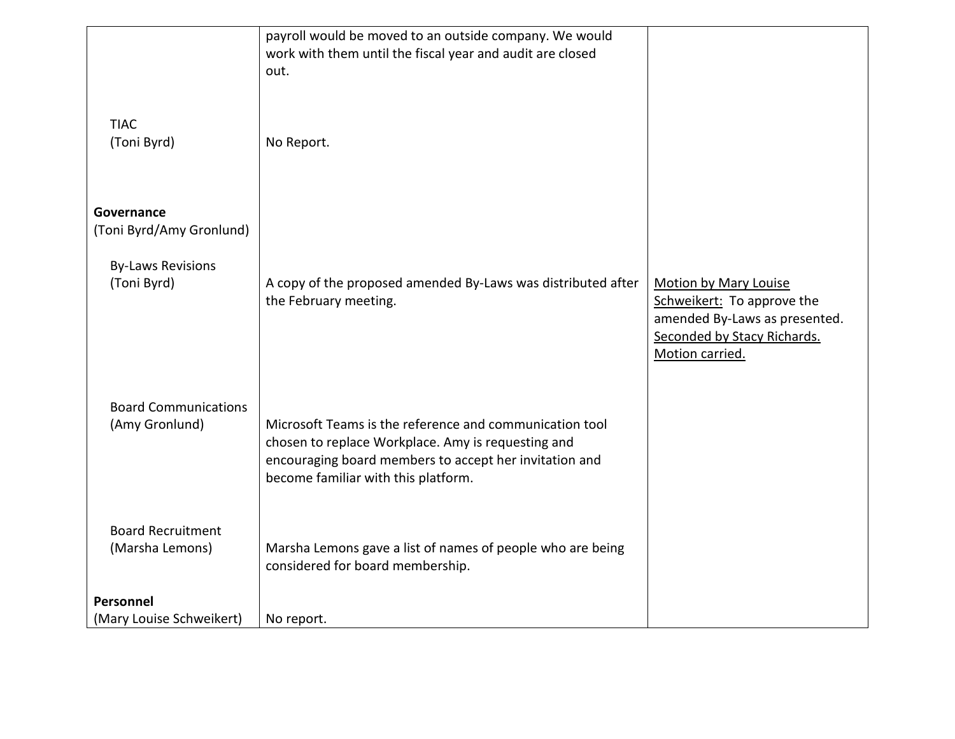|                             | payroll would be moved to an outside company. We would                                                       |                                                              |
|-----------------------------|--------------------------------------------------------------------------------------------------------------|--------------------------------------------------------------|
|                             | work with them until the fiscal year and audit are closed                                                    |                                                              |
|                             | out.                                                                                                         |                                                              |
| <b>TIAC</b><br>(Toni Byrd)  | No Report.                                                                                                   |                                                              |
| Governance                  |                                                                                                              |                                                              |
| (Toni Byrd/Amy Gronlund)    |                                                                                                              |                                                              |
|                             |                                                                                                              |                                                              |
| <b>By-Laws Revisions</b>    |                                                                                                              |                                                              |
| (Toni Byrd)                 | A copy of the proposed amended By-Laws was distributed after                                                 | <b>Motion by Mary Louise</b>                                 |
|                             | the February meeting.                                                                                        | Schweikert: To approve the                                   |
|                             |                                                                                                              | amended By-Laws as presented.<br>Seconded by Stacy Richards. |
|                             |                                                                                                              | Motion carried.                                              |
|                             |                                                                                                              |                                                              |
|                             |                                                                                                              |                                                              |
| <b>Board Communications</b> |                                                                                                              |                                                              |
| (Amy Gronlund)              | Microsoft Teams is the reference and communication tool                                                      |                                                              |
|                             | chosen to replace Workplace. Amy is requesting and<br>encouraging board members to accept her invitation and |                                                              |
|                             | become familiar with this platform.                                                                          |                                                              |
|                             |                                                                                                              |                                                              |
|                             |                                                                                                              |                                                              |
| <b>Board Recruitment</b>    |                                                                                                              |                                                              |
| (Marsha Lemons)             | Marsha Lemons gave a list of names of people who are being                                                   |                                                              |
|                             | considered for board membership.                                                                             |                                                              |
| Personnel                   |                                                                                                              |                                                              |
| (Mary Louise Schweikert)    | No report.                                                                                                   |                                                              |